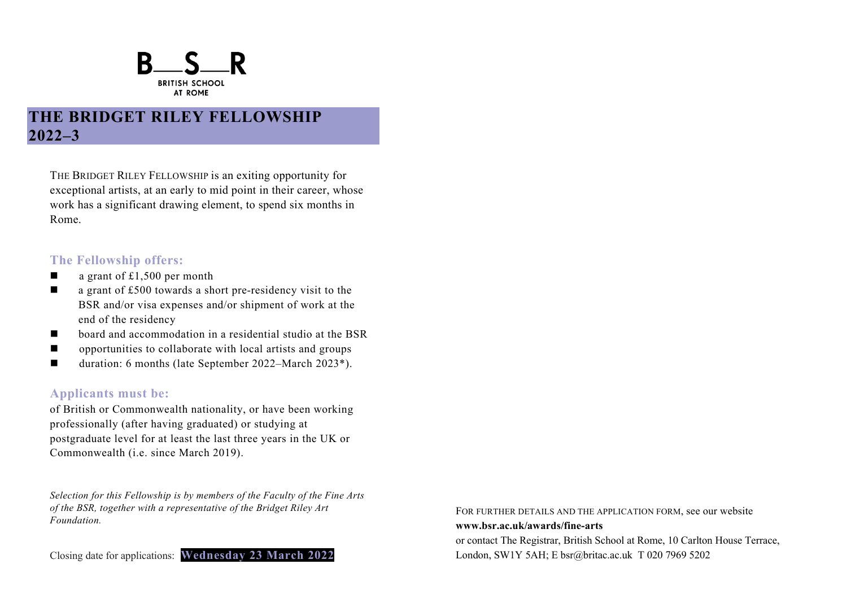

# **THE BRIDGET RILEY FELLOWSHIP 2022–3**

THE BRIDGET RILEY FELLOWSHIP is an exiting opportunity for exceptional artists, at an early to mid point in their career, whose work has a significant drawing element, to spend six months in Rome.

### **The Fellowship offers:**

- $\blacksquare$  a grant of £1,500 per month
- $\blacksquare$  a grant of £500 towards a short pre-residency visit to the BSR and/or visa expenses and/or shipment of work at the end of the residency
- board and accommodation in a residential studio at the BSR
- opportunities to collaborate with local artists and groups
- duration: 6 months (late September 2022–March 2023<sup>\*</sup>).

## **Applicants must be:**

of British or Commonwealth nationality, or have been working professionally (after having graduated) or studying at postgraduate level for at least the last three years in the UK or Commonwealth (i.e. since March 2019).

*Selection for this Fellowship is by members of the Faculty of the Fine Arts of the BSR, together with a representative of the Bridget Riley Art Foundation.*

Closing date for applications: **Wednesday 23 March 2022**

FOR FURTHER DETAILS AND THE APPLICATION FORM, see our website **www.bsr.ac.uk/awards/fine-arts**  or contact The Registrar, British School at Rome, 10 Carlton House Terrace, London, SW1Y 5AH; E bsr@britac.ac.uk T 020 7969 5202